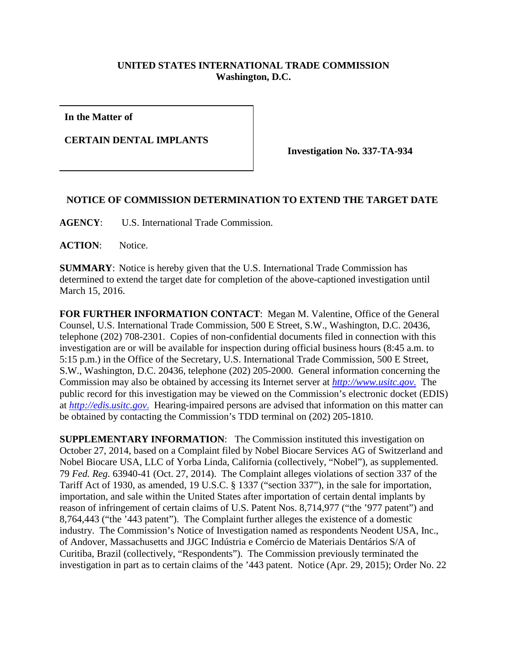## **UNITED STATES INTERNATIONAL TRADE COMMISSION Washington, D.C.**

**In the Matter of**

**CERTAIN DENTAL IMPLANTS**

**Investigation No. 337-TA-934**

## **NOTICE OF COMMISSION DETERMINATION TO EXTEND THE TARGET DATE**

**AGENCY**: U.S. International Trade Commission.

**ACTION**: Notice.

**SUMMARY**: Notice is hereby given that the U.S. International Trade Commission has determined to extend the target date for completion of the above-captioned investigation until March 15, 2016.

**FOR FURTHER INFORMATION CONTACT**: Megan M. Valentine, Office of the General Counsel, U.S. International Trade Commission, 500 E Street, S.W., Washington, D.C. 20436, telephone (202) 708-2301. Copies of non-confidential documents filed in connection with this investigation are or will be available for inspection during official business hours (8:45 a.m. to 5:15 p.m.) in the Office of the Secretary, U.S. International Trade Commission, 500 E Street, S.W., Washington, D.C. 20436, telephone (202) 205-2000. General information concerning the Commission may also be obtained by accessing its Internet server at *[http://www.usitc.gov](http://www.usitc.gov./)*. The public record for this investigation may be viewed on the Commission's electronic docket (EDIS) at *[http://edis.usitc.gov](http://edis.usitc.gov./)*. Hearing-impaired persons are advised that information on this matter can be obtained by contacting the Commission's TDD terminal on (202) 205-1810.

**SUPPLEMENTARY INFORMATION:** The Commission instituted this investigation on October 27, 2014, based on a Complaint filed by Nobel Biocare Services AG of Switzerland and Nobel Biocare USA, LLC of Yorba Linda, California (collectively, "Nobel"), as supplemented. 79 *Fed. Reg.* 63940-41 (Oct. 27, 2014). The Complaint alleges violations of section 337 of the Tariff Act of 1930, as amended, 19 U.S.C. § 1337 ("section 337"), in the sale for importation, importation, and sale within the United States after importation of certain dental implants by reason of infringement of certain claims of U.S. Patent Nos. 8,714,977 ("the '977 patent") and 8,764,443 ("the '443 patent"). The Complaint further alleges the existence of a domestic industry. The Commission's Notice of Investigation named as respondents Neodent USA, Inc., of Andover, Massachusetts and JJGC Indústria e Comércio de Materiais Dentários S/A of Curitiba, Brazil (collectively, "Respondents"). The Commission previously terminated the investigation in part as to certain claims of the '443 patent. Notice (Apr. 29, 2015); Order No. 22